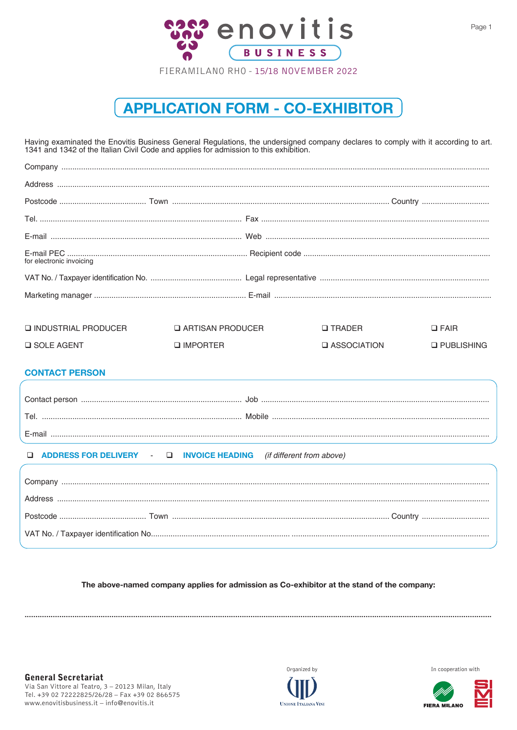

## **APPLICATION FORM - CO-EXHIBITOR**

Having examinated the Enovitis Business General Regulations, the undersigned company declares to comply with it according to art.<br>1341 and 1342 of the Italian Civil Code and applies for admission to this exhibition.

| INDUSTRIAL PRODUCER | $\Box$ ARTISAN PRODUCER | $\Box$ TRADER | $\square$ FAIR      |
|---------------------|-------------------------|---------------|---------------------|
| □ SOLE AGENT        | <b>Q IMPORTER</b>       | □ ASSOCIATION | <b>Q PUBLISHING</b> |

## **CONTACT PERSON**

| Tel.   |  |
|--------|--|
| F-mail |  |

## **Q ADDRESS FOR DELIVERY Q INVOICE HEADING** (if different from above)

The above-named company applies for admission as Co-exhibitor at the stand of the company:

Organized by